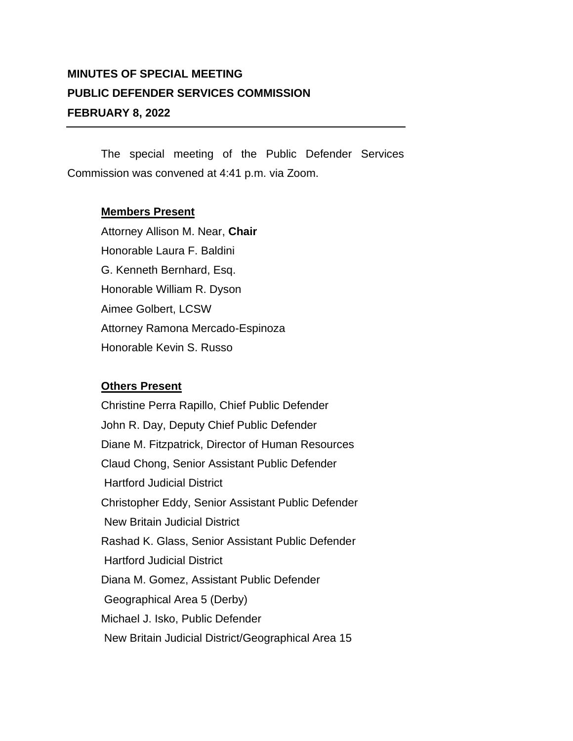## **MINUTES OF SPECIAL MEETING PUBLIC DEFENDER SERVICES COMMISSION FEBRUARY 8, 2022**

The special meeting of the Public Defender Services Commission was convened at 4:41 p.m. via Zoom.

## **Members Present**

Attorney Allison M. Near, **Chair** Honorable Laura F. Baldini G. Kenneth Bernhard, Esq. Honorable William R. Dyson Aimee Golbert, LCSW Attorney Ramona Mercado-Espinoza Honorable Kevin S. Russo

## **Others Present**

Christine Perra Rapillo, Chief Public Defender John R. Day, Deputy Chief Public Defender Diane M. Fitzpatrick, Director of Human Resources Claud Chong, Senior Assistant Public Defender Hartford Judicial District Christopher Eddy, Senior Assistant Public Defender New Britain Judicial District Rashad K. Glass, Senior Assistant Public Defender Hartford Judicial District Diana M. Gomez, Assistant Public Defender Geographical Area 5 (Derby) Michael J. Isko, Public Defender New Britain Judicial District/Geographical Area 15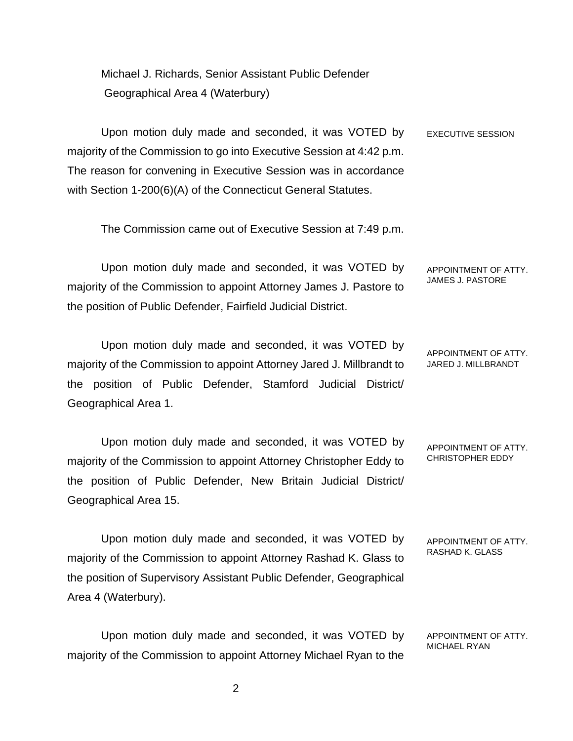Michael J. Richards, Senior Assistant Public Defender Geographical Area 4 (Waterbury)

Upon motion duly made and seconded, it was VOTED by majority of the Commission to go into Executive Session at 4:42 p.m. The reason for convening in Executive Session was in accordance with Section 1-200(6)(A) of the Connecticut General Statutes. EXECUTIVE SESSION

The Commission came out of Executive Session at 7:49 p.m.

Upon motion duly made and seconded, it was VOTED by majority of the Commission to appoint Attorney James J. Pastore to the position of Public Defender, Fairfield Judicial District. APPOINTMENT OF ATTY. JAMES J. PASTORE

Upon motion duly made and seconded, it was VOTED by majority of the Commission to appoint Attorney Jared J. Millbrandt to the position of Public Defender, Stamford Judicial District/ Geographical Area 1. APPOINTMENT OF ATTY. JARED J. MILLBRANDT

Upon motion duly made and seconded, it was VOTED by majority of the Commission to appoint Attorney Christopher Eddy to the position of Public Defender, New Britain Judicial District/ Geographical Area 15. APPOINTMENT OF ATTY. CHRISTOPHER EDDY

Upon motion duly made and seconded, it was VOTED by majority of the Commission to appoint Attorney Rashad K. Glass to the position of Supervisory Assistant Public Defender, Geographical Area 4 (Waterbury). APPOINTMENT OF ATTY. RASHAD K. GLASS

Upon motion duly made and seconded, it was VOTED by majority of the Commission to appoint Attorney Michael Ryan to the APPOINTMENT OF ATTY. MICHAEL RYAN